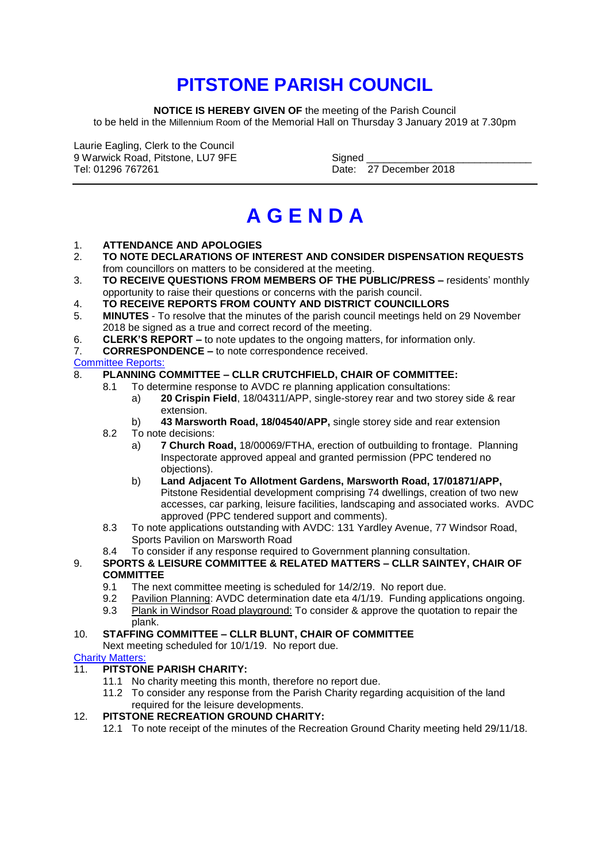## **PITSTONE PARISH COUNCIL**

**NOTICE IS HEREBY GIVEN OF** the meeting of the Parish Council to be held in the Millennium Room of the Memorial Hall on Thursday 3 January 2019 at 7.30pm

Laurie Eagling, Clerk to the Council 9 Warwick Road, Pitstone, LU7 9FE Signed \_\_\_\_\_\_\_\_\_\_\_\_\_\_\_\_\_\_\_\_\_\_\_\_\_\_\_\_\_

Date: 27 December 2018

# **A G E N D A**

## 1. **ATTENDANCE AND APOLOGIES**

- 2. **TO NOTE DECLARATIONS OF INTEREST AND CONSIDER DISPENSATION REQUESTS**  from councillors on matters to be considered at the meeting.
- 3. **TO RECEIVE QUESTIONS FROM MEMBERS OF THE PUBLIC/PRESS –** residents' monthly opportunity to raise their questions or concerns with the parish council.
- 4. **TO RECEIVE REPORTS FROM COUNTY AND DISTRICT COUNCILLORS**
- 5. **MINUTES** To resolve that the minutes of the parish council meetings held on 29 November 2018 be signed as a true and correct record of the meeting.
- 6. **CLERK'S REPORT –** to note updates to the ongoing matters, for information only.
- 7. **CORRESPONDENCE –** to note correspondence received.

Committee Reports:

## 8. **PLANNING COMMITTEE – CLLR CRUTCHFIELD, CHAIR OF COMMITTEE:**

- 8.1 To determine response to AVDC re planning application consultations:
	- a) **20 Crispin Field**, 18/04311/APP, single-storey rear and two storey side & rear extension.
	- b) **43 Marsworth Road, 18/04540/APP,** single storey side and rear extension
- 8.2 To note decisions:
	- a) **7 Church Road,** 18/00069/FTHA, erection of outbuilding to frontage. Planning Inspectorate approved appeal and granted permission (PPC tendered no objections).
	- b) **Land Adjacent To Allotment Gardens, Marsworth Road, 17/01871/APP,** Pitstone Residential development comprising 74 dwellings, creation of two new accesses, car parking, leisure facilities, landscaping and associated works. AVDC approved (PPC tendered support and comments).
- 8.3 To note applications outstanding with AVDC: 131 Yardley Avenue, 77 Windsor Road, Sports Pavilion on Marsworth Road
- 8.4 To consider if any response required to Government planning consultation.
- 9. **SPORTS & LEISURE COMMITTEE & RELATED MATTERS – CLLR SAINTEY, CHAIR OF COMMITTEE**
	- 9.1 The next committee meeting is scheduled for 14/2/19. No report due.
	- 9.2 Pavilion Planning: AVDC determination date eta 4/1/19. Funding applications ongoing.
	- 9.3 Plank in Windsor Road playground: To consider & approve the quotation to repair the plank.

## 10. **STAFFING COMMITTEE – CLLR BLUNT, CHAIR OF COMMITTEE**

Next meeting scheduled for 10/1/19. No report due.

## Charity Matters:

- 11. **PITSTONE PARISH CHARITY:** 
	- 11.1 No charity meeting this month, therefore no report due.
	- 11.2 To consider any response from the Parish Charity regarding acquisition of the land required for the leisure developments.

## 12. **PITSTONE RECREATION GROUND CHARITY:**

12.1 To note receipt of the minutes of the Recreation Ground Charity meeting held 29/11/18.